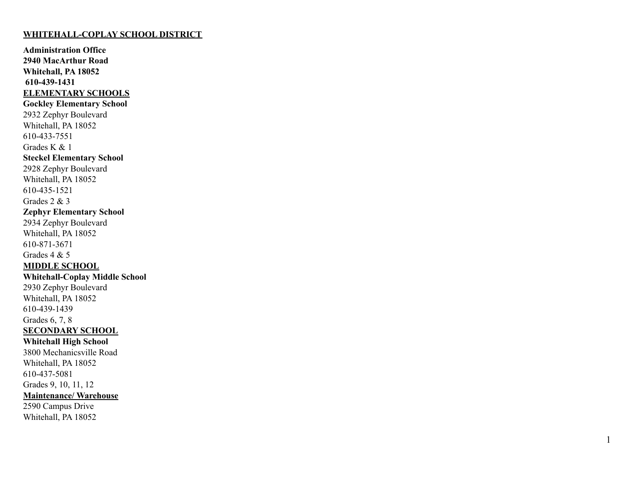#### **WHITEHALL-COPLAY SCHOOL DISTRICT**

**Administration Office** 2940 MacArthur Road **Whitehall, PA 18052 6 1 0 - 4 3 9 - 1 4 3 1 ELEMENTARY SCHOOLS Gockley Elementary School** 2932 Zephyr Boulevard Whitehall, PA 18052 610-433-7551 Grades K & 1 **Steckel Elementary School** 2928 Zephyr Boulevard Whitehall, PA 18052 610-435-1521 Grades  $2 & 3$ **Zephyr Elementary School** 2934 Zephyr Boulevard Whitehall, PA 18052 610-871-3671 Grades  $4 & 5$ **MIDDLE SCHOOL Whitehall-Coplay Middle School** 2930 Zephyr Boulevard Whitehall, PA 18052 610-439-1439 Grades 6, 7, 8 **SECONDARY SCHOOL** Whitehall High School 3800 Mechanicsville Road Whitehall, PA 18052 610-437-5081 Grades 9, 10, 11, 12 Maintenance/ Warehouse 2590 Campus Drive

Whitehall, PA 18052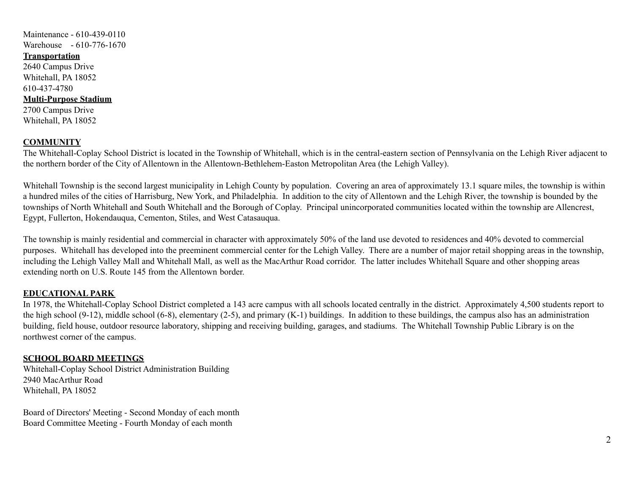# Maintenance - 610-439-0110 Warehouse - 610-776-1670

## **Transportation**

2640 Campus Drive Whitehall, PA 18052 610-437-4780

### **Multi-Purpose Stadium**

2700 Campus Drive Whitehall, PA 18052

## **COMMUNITY**

The Whitehall-Coplay School District is located in the Township of Whitehall, which is in the central-eastern section of Pennsylvania on the Lehigh River adjacent to the northern border of the City of Allentown in the Allentown-Bethlehem-Easton Metropolitan Area (the Lehigh Valley).

Whitehall Township is the second largest municipality in Lehigh County by population. Covering an area of approximately 13.1 square miles, the township is within a hundred miles of the cities of Harrisburg, New York, and Philadelphia. In addition to the city of Allentown and the Lehigh River, the township is bounded by the townships of North Whitehall and South Whitehall and the Borough of Coplay. Principal unincorporated communities located within the township are Allencrest, Egypt, Fullerton, Hokendauqua, Cementon, Stiles, and West Catasauqua.

The township is mainly residential and commercial in character with approximately 50% of the land use devoted to residences and 40% devoted to commercial purposes. Whitehall has developed into the preeminent commercial center for the Lehigh Valley. There are a number of major retail shopping areas in the township, including the Lehigh Valley Mall and Whitehall Mall, as well as the MacArthur Road corridor. The latter includes Whitehall Square and other shopping areas extending north on U.S. Route 145 from the Allentown border.

## **EDUCATIONAL PARK**

In 1978, the Whitehall-Coplay School District completed a 143 acre campus with all schools located centrally in the district. Approximately 4,500 students report to the high school (9-12), middle school (6-8), elementary (2-5), and primary (K-1) buildings. In addition to these buildings, the campus also has an administration building, field house, outdoor resource laboratory, shipping and receiving building, garages, and stadiums. The Whitehall Township Public Library is on the northwest corner of the campus.

## **SCHOOL BOARD MEETINGS**

Whitehall-Coplay School District Administration Building 2940 MacArthur Road Whitehall, PA 18052

Board of Directors' Meeting - Second Monday of each month Board Committee Meeting - Fourth Monday of each month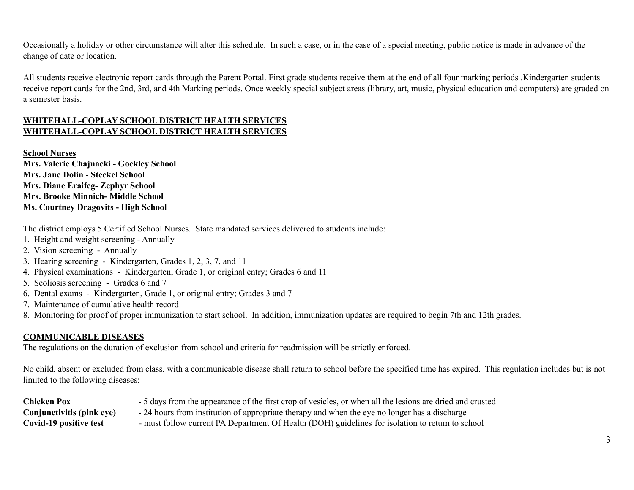Occasionally a holiday or other circumstance will alter this schedule. In such a case, or in the case of a special meeting, public notice is made in advance of the change of date or location.

All students receive electronic report cards through the Parent Portal. First grade students receive them at the end of all four marking periods .Kindergarten students receive report cards for the 2nd, 3rd, and 4th Marking periods. Once weekly special subject areas (library, art, music, physical education and computers) are graded on a semester basis.

## **WHITEHALL-COPLAY SCHOOL DISTRICT HEALTH SERVICES WHITEHALL-COPLAY SCHOOL DISTRICT HEALTH SERVICES**

**School Nurses Mrs. Valerie Chajnacki - Gockley School Mrs. Jane Dolin - Steckel School Mrs. Diane Eraifeg- Zephyr School Mrs. Brooke Minnich- Middle School Ms. Courtney Dragovits - High School**

The district employs 5 Certified School Nurses. State mandated services delivered to students include:

- 1. Height and weight screening Annually
- 2. Vision screening Annually
- 3. Hearing screening Kindergarten, Grades 1, 2, 3, 7, and 11
- 4. Physical examinations Kindergarten, Grade 1, or original entry; Grades 6 and 11
- 5. Scoliosis screening Grades 6 and 7
- 6. Dental exams Kindergarten, Grade 1, or original entry; Grades 3 and 7
- 7. Maintenance of cumulative health record
- 8. Monitoring for proof of proper immunization to start school. In addition, immunization updates are required to begin 7th and 12th grades.

## **COMMUNICABLE DISEASES**

The regulations on the duration of exclusion from school and criteria for readmission will be strictly enforced.

No child, absent or excluded from class, with a communicable disease shall return to school before the specified time has expired. This regulation includes but is not limited to the following diseases:

| <b>Chicken Pox</b>        | - 5 days from the appearance of the first crop of vesicles, or when all the lesions are dried and crusted |
|---------------------------|-----------------------------------------------------------------------------------------------------------|
| Conjunctivitis (pink eye) | - 24 hours from institution of appropriate therapy and when the eye no longer has a discharge             |
| Covid-19 positive test    | - must follow current PA Department Of Health (DOH) guidelines for isolation to return to school          |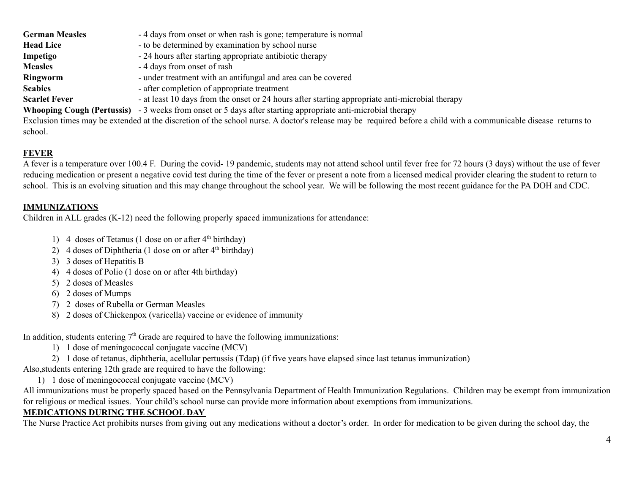| <b>German Measles</b> | -4 days from onset or when rash is gone; temperature is normal                                  |
|-----------------------|-------------------------------------------------------------------------------------------------|
| <b>Head Lice</b>      | - to be determined by examination by school nurse                                               |
| Impetigo              | - 24 hours after starting appropriate antibiotic therapy                                        |
| <b>Measles</b>        | - 4 days from onset of rash                                                                     |
| Ringworm              | - under treatment with an antifungal and area can be covered                                    |
| <b>Scabies</b>        | - after completion of appropriate treatment                                                     |
| <b>Scarlet Fever</b>  | - at least 10 days from the onset or 24 hours after starting appropriate anti-microbial therapy |

**Whooping Cough (Pertussis)** - 3 weeks from onset or 5 days after starting appropriate anti-microbial therapy

Exclusion times may be extended at the discretion of the school nurse. A doctor's release may be required before a child with a communicable disease returns to school.

# **FEVER**

A fever is a temperature over 100.4 F. During the covid- 19 pandemic, students may not attend school until fever free for 72 hours (3 days) without the use of fever reducing medication or present a negative covid test during the time of the fever or present a note from a licensed medical provider clearing the student to return to school. This is an evolving situation and this may change throughout the school year. We will be following the most recent guidance for the PA DOH and CDC.

# **IMMUNIZATIONS**

Children in ALL grades (K-12) need the following properly spaced immunizations for attendance:

- 1) 4 doses of Tetanus (1 dose on or after  $4<sup>th</sup>$  birthday)
- 2) 4 doses of Diphtheria (1 dose on or after  $4<sup>th</sup>$  birthday)
- 3) 3 doses of Hepatitis B
- 4) 4 doses of Polio (1 dose on or after 4th birthday)
- 5) 2 doses of Measles
- 6) 2 doses of Mumps
- 7) 2 doses of Rubella or German Measles
- 8) 2 doses of Chickenpox (varicella) vaccine or evidence of immunity

In addition, students entering  $7<sup>th</sup>$  Grade are required to have the following immunizations:

- 1) 1 dose of meningococcal conjugate vaccine (MCV)
- 2) 1 dose of tetanus, diphtheria, acellular pertussis (Tdap) (if five years have elapsed since last tetanus immunization)

Also,students entering 12th grade are required to have the following:

1) 1 dose of meningococcal conjugate vaccine (MCV)

All immunizations must be properly spaced based on the Pennsylvania Department of Health Immunization Regulations. Children may be exempt from immunization for religious or medical issues. Your child's school nurse can provide more information about exemptions from immunizations.

# **MEDICATIONS DURING THE SCHOOL DAY**

The Nurse Practice Act prohibits nurses from giving out any medications without a doctor's order. In order for medication to be given during the school day, the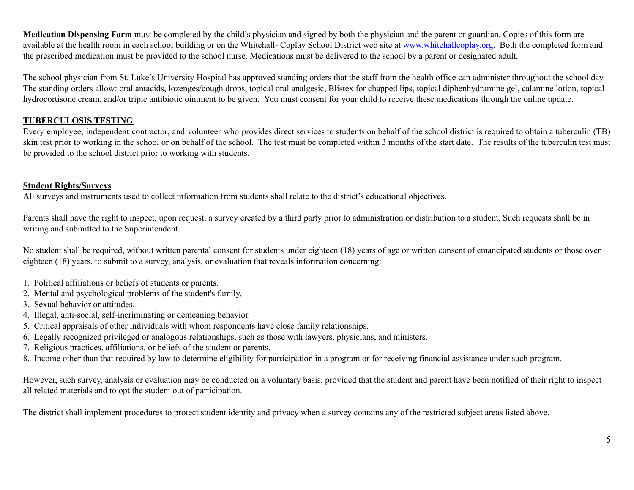**Medication Dispensing Form** must be completed by the child's physician and signed by both the physician and the parent or guardian. Copies of this form are available at the health room in each school building or on the Whitehall- Coplay School District web site at [www.whitehallcoplay.org](http://www.whitehallcoplay.org). Both the completed form and the prescribed medication must be provided to the school nurse. Medications must be delivered to the school by a parent or designated adult.

The school physician from St. Luke's University Hospital has approved standing orders that the staff from the health office can administer throughout the school day. The standing orders allow: oral antacids, lozenges/cough drops, topical oral analgesic, Blistex for chapped lips, topical diphenhydramine gel, calamine lotion, topical hydrocortisone cream, and/or triple antibiotic ointment to be given. You must consent for your child to receive these medications through the online update.

## **TUBERCULOSIS TESTING**

Every employee, independent contractor, and volunteer who provides direct services to students on behalf of the school district is required to obtain a tuberculin (TB) skin test prior to working in the school or on behalf of the school. The test must be completed within 3 months of the start date. The results of the tuberculin test must be provided to the school district prior to working with students.

# **Student Rights/Surveys**

All surveys and instruments used to collect information from students shall relate to the district's educational objectives.

Parents shall have the right to inspect, upon request, a survey created by a third party prior to administration or distribution to a student. Such requests shall be in writing and submitted to the Superintendent.

No student shall be required, without written parental consent for students under eighteen (18) years of age or written consent of emancipated students or those over eighteen (18) years, to submit to a survey, analysis, or evaluation that reveals information concerning:

- 1. Political affiliations or beliefs of students or parents.
- 2. Mental and psychological problems of the student's family.
- 3. Sexual behavior or attitudes.
- 4. Illegal, anti-social, self-incriminating or demeaning behavior.
- 5. Critical appraisals of other individuals with whom respondents have close family relationships.
- 6. Legally recognized privileged or analogous relationships, such as those with lawyers, physicians, and ministers.
- 7. Religious practices, affiliations, or beliefs of the student or parents.
- 8. Income other than that required by law to determine eligibility for participation in a program or for receiving financial assistance under such program.

However, such survey, analysis or evaluation may be conducted on a voluntary basis, provided that the student and parent have been notified of their right to inspect all related materials and to opt the student out of participation.

The district shall implement procedures to protect student identity and privacy when a survey contains any of the restricted subject areas listed above.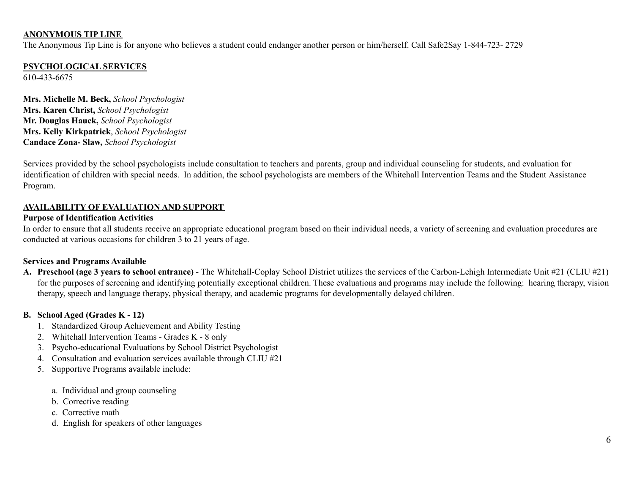### **ANONYMOUS TIP LINE**

The Anonymous Tip Line is for anyone who believes a student could endanger another person or him/herself. Call Safe2Say 1-844-723- 2729

## **PSYCHOLOGICAL SERVICES**

610-433-6675

**Mrs. Michelle M. Beck,** *School Psychologist* **Mrs. Karen Christ,** *School Psychologist* **Mr. Douglas Hauck,** *School Psychologist* **Mrs. Kelly Kirkpatrick**, *School Psychologist* **Candace Zona- Slaw,** *School Psychologist*

Services provided by the school psychologists include consultation to teachers and parents, group and individual counseling for students, and evaluation for identification of children with special needs. In addition, the school psychologists are members of the Whitehall Intervention Teams and the Student Assistance Program.

### **AVAILABILITY OF EVALUATION AND SUPPORT**

### **Purpose of Identification Activities**

In order to ensure that all students receive an appropriate educational program based on their individual needs, a variety of screening and evaluation procedures are conducted at various occasions for children 3 to 21 years of age.

### **Services and Programs Available**

**A. Preschool (age 3 years to school entrance)** - The Whitehall-Coplay School District utilizes the services of the Carbon-Lehigh Intermediate Unit #21 (CLIU #21) for the purposes of screening and identifying potentially exceptional children. These evaluations and programs may include the following: hearing therapy, vision therapy, speech and language therapy, physical therapy, and academic programs for developmentally delayed children.

### **B. School Aged (Grades K - 12)**

- 1. Standardized Group Achievement and Ability Testing
- 2. Whitehall Intervention Teams Grades K 8 only
- 3. Psycho-educational Evaluations by School District Psychologist
- 4. Consultation and evaluation services available through CLIU #21
- 5. Supportive Programs available include:
	- a. Individual and group counseling
	- b. Corrective reading
	- c. Corrective math
	- d. English for speakers of other languages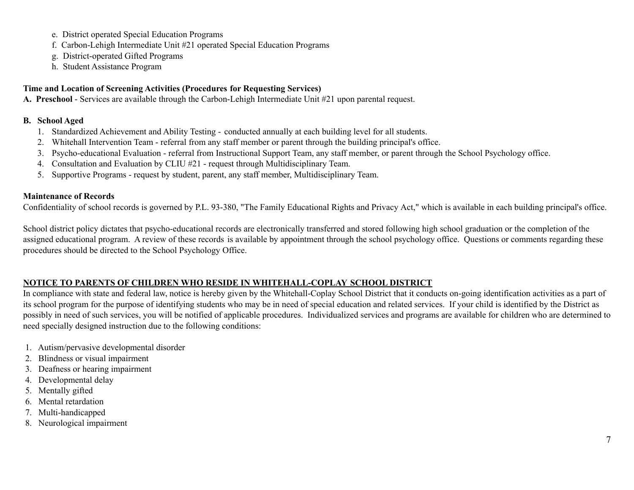- e. District operated Special Education Programs
- f. Carbon-Lehigh Intermediate Unit #21 operated Special Education Programs
- g. District-operated Gifted Programs
- h. Student Assistance Program

## **Time and Location of Screening Activities (Procedures for Requesting Services)**

**A. Preschool** - Services are available through the Carbon-Lehigh Intermediate Unit #21 upon parental request.

### **B. School Aged**

- 1. Standardized Achievement and Ability Testing conducted annually at each building level for all students.
- 2. Whitehall Intervention Team referral from any staff member or parent through the building principal's office.
- 3. Psycho-educational Evaluation referral from Instructional Support Team, any staff member, or parent through the School Psychology office.
- 4. Consultation and Evaluation by CLIU #21 request through Multidisciplinary Team.
- 5. Supportive Programs request by student, parent, any staff member, Multidisciplinary Team.

### **Maintenance of Records**

Confidentiality of school records is governed by P.L. 93-380, "The Family Educational Rights and Privacy Act," which is available in each building principal's office.

School district policy dictates that psycho-educational records are electronically transferred and stored following high school graduation or the completion of the assigned educational program. A review of these records is available by appointment through the school psychology office. Questions or comments regarding these procedures should be directed to the School Psychology Office.

# **NOTICE TO PARENTS OF CHILDREN WHO RESIDE IN WHITEHALL-COPLAY SCHOOL DISTRICT**

In compliance with state and federal law, notice is hereby given by the Whitehall-Coplay School District that it conducts on-going identification activities as a part of its school program for the purpose of identifying students who may be in need of special education and related services. If your child is identified by the District as possibly in need of such services, you will be notified of applicable procedures. Individualized services and programs are available for children who are determined to need specially designed instruction due to the following conditions:

- 1. Autism/pervasive developmental disorder
- 2. Blindness or visual impairment
- 3. Deafness or hearing impairment
- 4. Developmental delay
- 5. Mentally gifted
- 6. Mental retardation
- 7. Multi-handicapped
- 8. Neurological impairment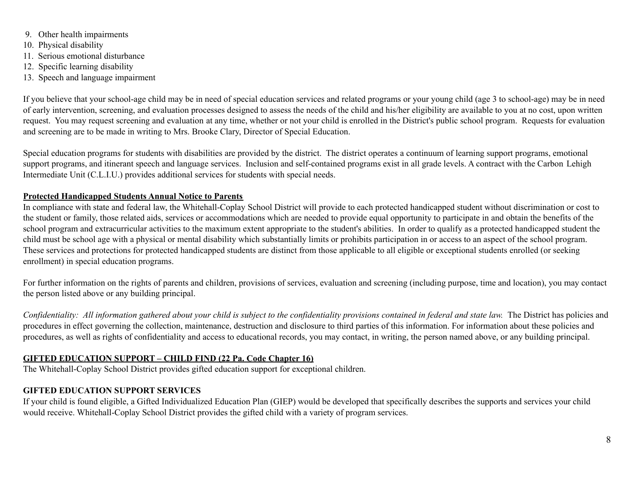- 9. Other health impairments
- 10. Physical disability
- 11. Serious emotional disturbance
- 12. Specific learning disability
- 13. Speech and language impairment

If you believe that your school-age child may be in need of special education services and related programs or your young child (age 3 to school-age) may be in need of early intervention, screening, and evaluation processes designed to assess the needs of the child and his/her eligibility are available to you at no cost, upon written request. You may request screening and evaluation at any time, whether or not your child is enrolled in the District's public school program. Requests for evaluation and screening are to be made in writing to Mrs. Brooke Clary, Director of Special Education.

Special education programs for students with disabilities are provided by the district. The district operates a continuum of learning support programs, emotional support programs, and itinerant speech and language services. Inclusion and self-contained programs exist in all grade levels. A contract with the Carbon Lehigh Intermediate Unit (C.L.I.U.) provides additional services for students with special needs.

## **Protected Handicapped Students Annual Notice to Parents**

In compliance with state and federal law, the Whitehall-Coplay School District will provide to each protected handicapped student without discrimination or cost to the student or family, those related aids, services or accommodations which are needed to provide equal opportunity to participate in and obtain the benefits of the school program and extracurricular activities to the maximum extent appropriate to the student's abilities. In order to qualify as a protected handicapped student the child must be school age with a physical or mental disability which substantially limits or prohibits participation in or access to an aspect of the school program. These services and protections for protected handicapped students are distinct from those applicable to all eligible or exceptional students enrolled (or seeking enrollment) in special education programs.

For further information on the rights of parents and children, provisions of services, evaluation and screening (including purpose, time and location), you may contact the person listed above or any building principal.

Confidentiality: All information gathered about your child is subject to the confidentiality provisions contained in federal and state law. The District has policies and procedures in effect governing the collection, maintenance, destruction and disclosure to third parties of this information. For information about these policies and procedures, as well as rights of confidentiality and access to educational records, you may contact, in writing, the person named above, or any building principal.

# **GIFTED EDUCATION SUPPORT – CHILD FIND (22 Pa. Code Chapter 16)**

The Whitehall-Coplay School District provides gifted education support for exceptional children.

# **GIFTED EDUCATION SUPPORT SERVICES**

If your child is found eligible, a Gifted Individualized Education Plan (GIEP) would be developed that specifically describes the supports and services your child would receive. Whitehall-Coplay School District provides the gifted child with a variety of program services.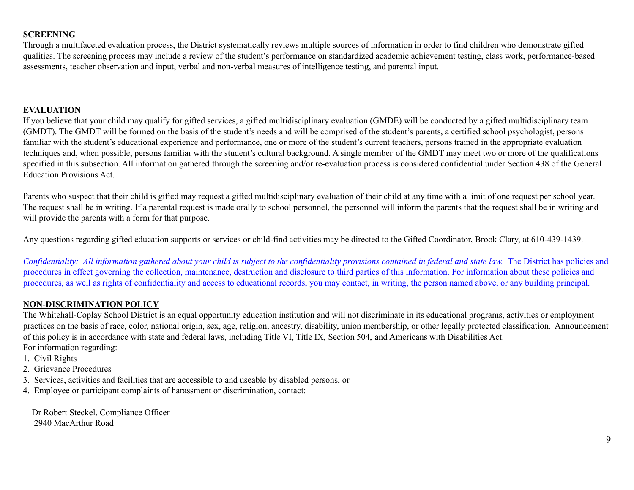### **SCREENING**

Through a multifaceted evaluation process, the District systematically reviews multiple sources of information in order to find children who demonstrate gifted qualities. The screening process may include a review of the student's performance on standardized academic achievement testing, class work, performance-based assessments, teacher observation and input, verbal and non-verbal measures of intelligence testing, and parental input.

### **EVALUATION**

If you believe that your child may qualify for gifted services, a gifted multidisciplinary evaluation (GMDE) will be conducted by a gifted multidisciplinary team (GMDT). The GMDT will be formed on the basis of the student's needs and will be comprised of the student's parents, a certified school psychologist, persons familiar with the student's educational experience and performance, one or more of the student's current teachers, persons trained in the appropriate evaluation techniques and, when possible, persons familiar with the student's cultural background. A single member of the GMDT may meet two or more of the qualifications specified in this subsection. All information gathered through the screening and/or re-evaluation process is considered confidential under Section 438 of the General Education Provisions Act.

Parents who suspect that their child is gifted may request a gifted multidisciplinary evaluation of their child at any time with a limit of one request per school year. The request shall be in writing. If a parental request is made orally to school personnel, the personnel will inform the parents that the request shall be in writing and will provide the parents with a form for that purpose.

Any questions regarding gifted education supports or services or child-find activities may be directed to the Gifted Coordinator, Brook Clary, at 610-439-1439.

Confidentiality: All information gathered about your child is subject to the confidentiality provisions contained in federal and state law. The District has policies and procedures in effect governing the collection, maintenance, destruction and disclosure to third parties of this information. For information about these policies and procedures, as well as rights of confidentiality and access to educational records, you may contact, in writing, the person named above, or any building principal.

### **NON-DISCRIMINATION POLICY**

The Whitehall-Coplay School District is an equal opportunity education institution and will not discriminate in its educational programs, activities or employment practices on the basis of race, color, national origin, sex, age, religion, ancestry, disability, union membership, or other legally protected classification. Announcement of this policy is in accordance with state and federal laws, including Title VI, Title IX, Section 504, and Americans with Disabilities Act. For information regarding:

- 1. Civil Rights
- 2. Grievance Procedures
- 3. Services, activities and facilities that are accessible to and useable by disabled persons, or
- 4. Employee or participant complaints of harassment or discrimination, contact:

Dr Robert Steckel, Compliance Officer 2940 MacArthur Road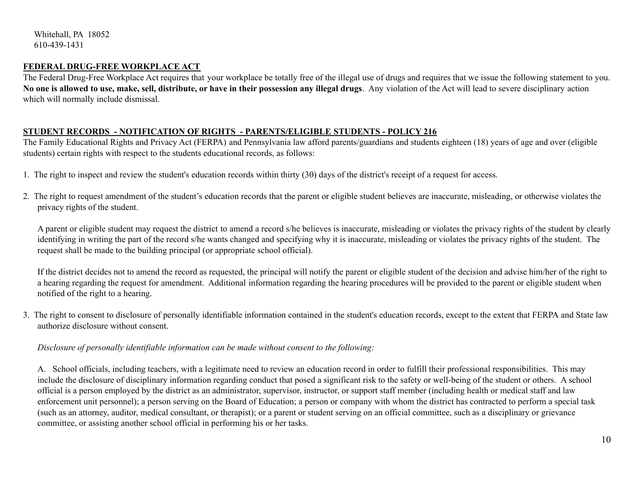Whitehall, PA 18052 610-439-1431

### **FEDERAL DRUG-FREE WORKPLACE ACT**

The Federal Drug-Free Workplace Act requires that your workplace be totally free of the illegal use of drugs and requires that we issue the following statement to you. No one is allowed to use, make, sell, distribute, or have in their possession any illegal drugs. Any violation of the Act will lead to severe disciplinary action which will normally include dismissal.

#### **STUDENT RECORDS - NOTIFICATION OF RIGHTS - PARENTS/ELIGIBLE STUDENTS - POLICY 216**

The Family Educational Rights and Privacy Act (FERPA) and Pennsylvania law afford parents/guardians and students eighteen (18) years of age and over (eligible students) certain rights with respect to the students educational records, as follows:

- 1. The right to inspect and review the student's education records within thirty (30) days of the district's receipt of a request for access.
- 2. The right to request amendment of the student's education records that the parent or eligible student believes are inaccurate, misleading, or otherwise violates the privacy rights of the student.

A parent or eligible student may request the district to amend a record s/he believes is inaccurate, misleading or violates the privacy rights of the student by clearly identifying in writing the part of the record s/he wants changed and specifying why it is inaccurate, misleading or violates the privacy rights of the student. The request shall be made to the building principal (or appropriate school official).

If the district decides not to amend the record as requested, the principal will notify the parent or eligible student of the decision and advise him/her of the right to a hearing regarding the request for amendment. Additional information regarding the hearing procedures will be provided to the parent or eligible student when notified of the right to a hearing.

3. The right to consent to disclosure of personally identifiable information contained in the student's education records, except to the extent that FERPA and State law authorize disclosure without consent.

### *Disclosure of personally identifiable information can be made without consent to the following:*

A. School officials, including teachers, with a legitimate need to review an education record in order to fulfill their professional responsibilities. This may include the disclosure of disciplinary information regarding conduct that posed a significant risk to the safety or well-being of the student or others. A school official is a person employed by the district as an administrator, supervisor, instructor, or support staff member (including health or medical staff and law enforcement unit personnel); a person serving on the Board of Education; a person or company with whom the district has contracted to perform a special task (such as an attorney, auditor, medical consultant, or therapist); or a parent or student serving on an official committee, such as a disciplinary or grievance committee, or assisting another school official in performing his or her tasks.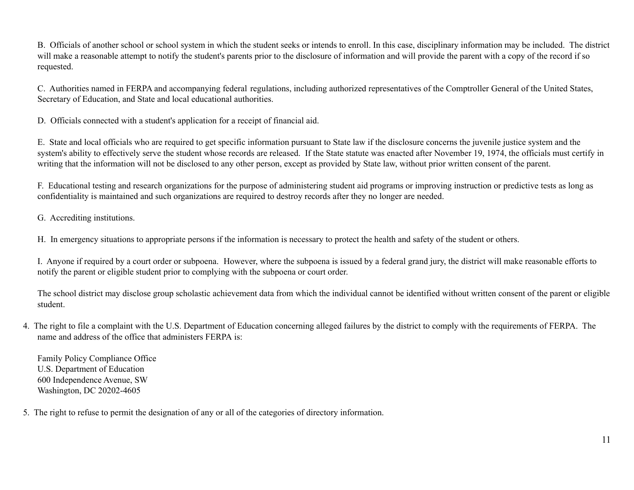B. Officials of another school or school system in which the student seeks or intends to enroll. In this case, disciplinary information may be included. The district will make a reasonable attempt to notify the student's parents prior to the disclosure of information and will provide the parent with a copy of the record if so requested.

C. Authorities named in FERPA and accompanying federal regulations, including authorized representatives of the Comptroller General of the United States, Secretary of Education, and State and local educational authorities.

D. Officials connected with a student's application for a receipt of financial aid.

E. State and local officials who are required to get specific information pursuant to State law if the disclosure concerns the juvenile justice system and the system's ability to effectively serve the student whose records are released. If the State statute was enacted after November 19, 1974, the officials must certify in writing that the information will not be disclosed to any other person, except as provided by State law, without prior written consent of the parent.

F. Educational testing and research organizations for the purpose of administering student aid programs or improving instruction or predictive tests as long as confidentiality is maintained and such organizations are required to destroy records after they no longer are needed.

G. Accrediting institutions.

H. In emergency situations to appropriate persons if the information is necessary to protect the health and safety of the student or others.

I. Anyone if required by a court order or subpoena. However, where the subpoena is issued by a federal grand jury, the district will make reasonable efforts to notify the parent or eligible student prior to complying with the subpoena or court order.

The school district may disclose group scholastic achievement data from which the individual cannot be identified without written consent of the parent or eligible student.

4. The right to file a complaint with the U.S. Department of Education concerning alleged failures by the district to comply with the requirements of FERPA. The name and address of the office that administers FERPA is:

Family Policy Compliance Office U.S. Department of Education 600 Independence Avenue, SW Washington, DC 20202-4605

5. The right to refuse to permit the designation of any or all of the categories of directory information.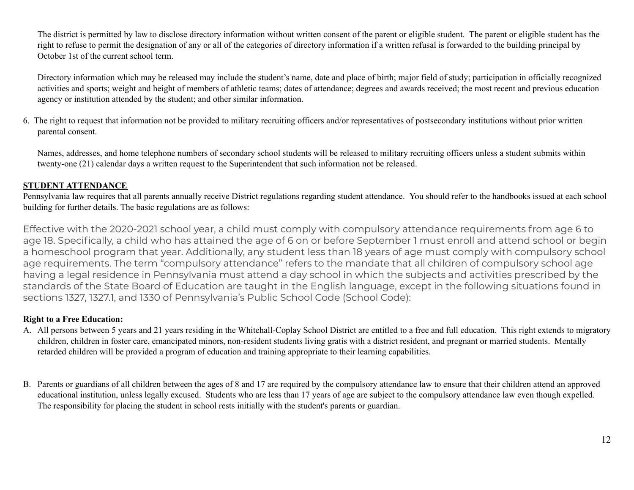The district is permitted by law to disclose directory information without written consent of the parent or eligible student. The parent or eligible student has the right to refuse to permit the designation of any or all of the categories of directory information if a written refusal is forwarded to the building principal by October 1st of the current school term.

Directory information which may be released may include the student's name, date and place of birth; major field of study; participation in officially recognized activities and sports; weight and height of members of athletic teams; dates of attendance; degrees and awards received; the most recent and previous education agency or institution attended by the student; and other similar information.

6. The right to request that information not be provided to military recruiting officers and/or representatives of postsecondary institutions without prior written parental consent.

Names, addresses, and home telephone numbers of secondary school students will be released to military recruiting officers unless a student submits within twenty-one (21) calendar days a written request to the Superintendent that such information not be released.

## **STUDENT ATTENDANCE**

Pennsylvania law requires that all parents annually receive District regulations regarding student attendance. You should refer to the handbooks issued at each school building for further details. The basic regulations are as follows:

Effective with the 2020-2021 school year, a child must comply with compulsory attendance requirements from age 6 to age 18. Specifically, a child who has attained the age of 6 on or before September 1 must enroll and attend school or begin a homeschool program that year. Additionally, any student less than 18 years of age must comply with compulsory school age requirements. The term "compulsory attendance" refers to the mandate that all children of compulsory school age having a legal residence in Pennsylvania must attend a day school in which the subjects and activities prescribed by the standards of the State Board of Education are taught in the English language, except in the following situations found in sections 1327, 1327.1, and 1330 of Pennsylvania's Public School Code (School Code):

## **Right to a Free Education:**

- A. All persons between 5 years and 21 years residing in the Whitehall-Coplay School District are entitled to a free and full education. This right extends to migratory children, children in foster care, emancipated minors, non-resident students living gratis with a district resident, and pregnant or married students. Mentally retarded children will be provided a program of education and training appropriate to their learning capabilities.
- B. Parents or guardians of all children between the ages of 8 and 17 are required by the compulsory attendance law to ensure that their children attend an approved educational institution, unless legally excused. Students who are less than 17 years of age are subject to the compulsory attendance law even though expelled. The responsibility for placing the student in school rests initially with the student's parents or guardian.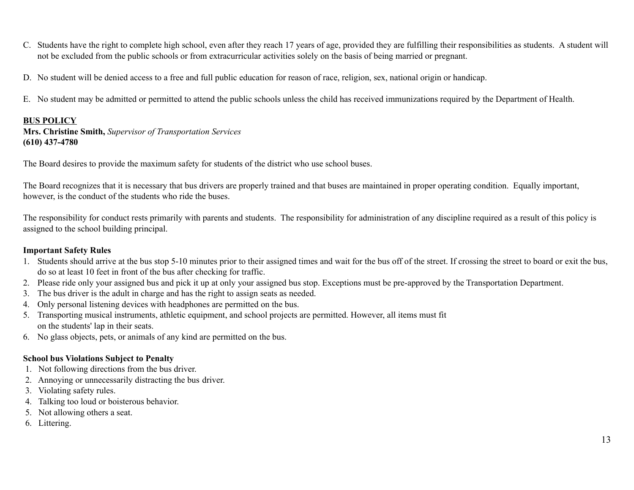- C. Students have the right to complete high school, even after they reach 17 years of age, provided they are fulfilling their responsibilities as students. A student will not be excluded from the public schools or from extracurricular activities solely on the basis of being married or pregnant.
- D. No student will be denied access to a free and full public education for reason of race, religion, sex, national origin or handicap.
- E. No student may be admitted or permitted to attend the public schools unless the child has received immunizations required by the Department of Health.

#### **BUS POLICY**

**Mrs. Christine Smith,** *Supervisor of Transportation Services* **(610) 437-4780**

The Board desires to provide the maximum safety for students of the district who use school buses.

The Board recognizes that it is necessary that bus drivers are properly trained and that buses are maintained in proper operating condition. Equally important, however, is the conduct of the students who ride the buses.

The responsibility for conduct rests primarily with parents and students. The responsibility for administration of any discipline required as a result of this policy is assigned to the school building principal.

### **Important Safety Rules**

- 1. Students should arrive at the bus stop 5-10 minutes prior to their assigned times and wait for the bus off of the street. If crossing the street to board or exit the bus, do so at least 10 feet in front of the bus after checking for traffic.
- 2. Please ride only your assigned bus and pick it up at only your assigned bus stop. Exceptions must be pre-approved by the Transportation Department.
- 3. The bus driver is the adult in charge and has the right to assign seats as needed.
- 4. Only personal listening devices with headphones are permitted on the bus.
- 5. Transporting musical instruments, athletic equipment, and school projects are permitted. However, all items must fit on the students' lap in their seats.
- 6. No glass objects, pets, or animals of any kind are permitted on the bus.

### **School bus Violations Subject to Penalty**

- 1. Not following directions from the bus driver.
- 2. Annoying or unnecessarily distracting the bus driver.
- 3. Violating safety rules.
- 4. Talking too loud or boisterous behavior.
- 5. Not allowing others a seat.
- 6. Littering.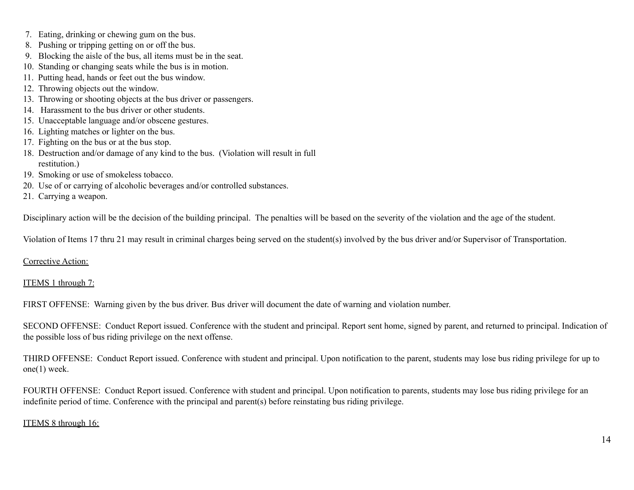- 7. Eating, drinking or chewing gum on the bus.
- 8. Pushing or tripping getting on or off the bus.
- 9. Blocking the aisle of the bus, all items must be in the seat.
- 10. Standing or changing seats while the bus is in motion.
- 11. Putting head, hands or feet out the bus window.
- 12. Throwing objects out the window.
- 13. Throwing or shooting objects at the bus driver or passengers.
- 14. Harassment to the bus driver or other students.
- 15. Unacceptable language and/or obscene gestures.
- 16. Lighting matches or lighter on the bus.
- 17. Fighting on the bus or at the bus stop.
- 18. Destruction and/or damage of any kind to the bus. (Violation will result in full restitution.)
- 19. Smoking or use of smokeless tobacco.
- 20. Use of or carrying of alcoholic beverages and/or controlled substances.
- 21. Carrying a weapon.

Disciplinary action will be the decision of the building principal. The penalties will be based on the severity of the violation and the age of the student.

Violation of Items 17 thru 21 may result in criminal charges being served on the student(s) involved by the bus driver and/or Supervisor of Transportation.

### Corrective Action:

## ITEMS 1 through 7:

FIRST OFFENSE: Warning given by the bus driver. Bus driver will document the date of warning and violation number.

SECOND OFFENSE: Conduct Report issued. Conference with the student and principal. Report sent home, signed by parent, and returned to principal. Indication of the possible loss of bus riding privilege on the next offense.

THIRD OFFENSE: Conduct Report issued. Conference with student and principal. Upon notification to the parent, students may lose bus riding privilege for up to one(1) week.

FOURTH OFFENSE: Conduct Report issued. Conference with student and principal. Upon notification to parents, students may lose bus riding privilege for an indefinite period of time. Conference with the principal and parent(s) before reinstating bus riding privilege.

## ITEMS 8 through 16: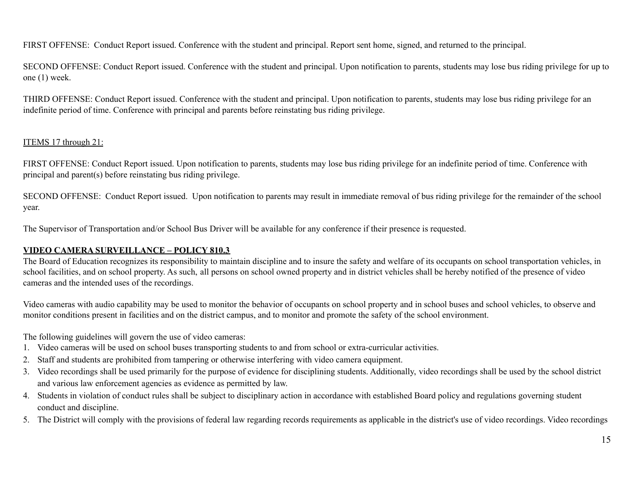FIRST OFFENSE: Conduct Report issued. Conference with the student and principal. Report sent home, signed, and returned to the principal.

SECOND OFFENSE: Conduct Report issued. Conference with the student and principal. Upon notification to parents, students may lose bus riding privilege for up to one (1) week.

THIRD OFFENSE: Conduct Report issued. Conference with the student and principal. Upon notification to parents, students may lose bus riding privilege for an indefinite period of time. Conference with principal and parents before reinstating bus riding privilege.

## ITEMS 17 through 21:

FIRST OFFENSE: Conduct Report issued. Upon notification to parents, students may lose bus riding privilege for an indefinite period of time. Conference with principal and parent(s) before reinstating bus riding privilege.

SECOND OFFENSE: Conduct Report issued. Upon notification to parents may result in immediate removal of bus riding privilege for the remainder of the school year.

The Supervisor of Transportation and/or School Bus Driver will be available for any conference if their presence is requested.

## **VIDEO CAMERA SURVEILLANCE – POLICY 810.3**

The Board of Education recognizes its responsibility to maintain discipline and to insure the safety and welfare of its occupants on school transportation vehicles, in school facilities, and on school property. As such, all persons on school owned property and in district vehicles shall be hereby notified of the presence of video cameras and the intended uses of the recordings.

Video cameras with audio capability may be used to monitor the behavior of occupants on school property and in school buses and school vehicles, to observe and monitor conditions present in facilities and on the district campus, and to monitor and promote the safety of the school environment.

The following guidelines will govern the use of video cameras:

- 1. Video cameras will be used on school buses transporting students to and from school or extra-curricular activities.
- 2. Staff and students are prohibited from tampering or otherwise interfering with video camera equipment.
- 3. Video recordings shall be used primarily for the purpose of evidence for disciplining students. Additionally, video recordings shall be used by the school district and various law enforcement agencies as evidence as permitted by law.
- 4. Students in violation of conduct rules shall be subject to disciplinary action in accordance with established Board policy and regulations governing student conduct and discipline.
- 5. The District will comply with the provisions of federal law regarding records requirements as applicable in the district's use of video recordings. Video recordings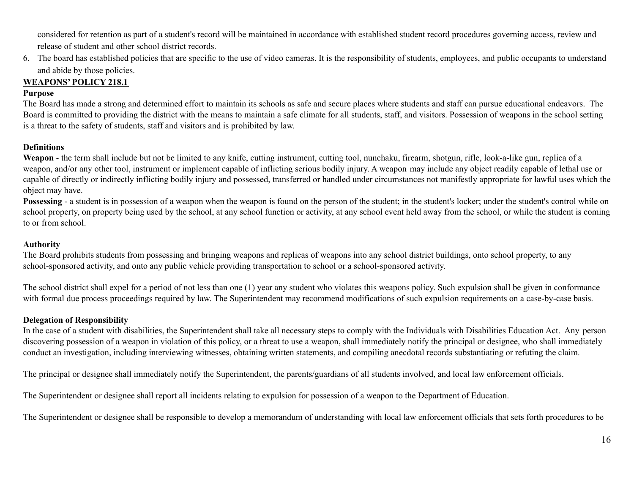considered for retention as part of a student's record will be maintained in accordance with established student record procedures governing access, review and release of student and other school district records.

6. The board has established policies that are specific to the use of video cameras. It is the responsibility of students, employees, and public occupants to understand and abide by those policies.

# **WEAPONS' POLICY 218.1**

### **Purpose**

The Board has made a strong and determined effort to maintain its schools as safe and secure places where students and staff can pursue educational endeavors. The Board is committed to providing the district with the means to maintain a safe climate for all students, staff, and visitors. Possession of weapons in the school setting is a threat to the safety of students, staff and visitors and is prohibited by law.

### **Definitions**

**Weapon** - the term shall include but not be limited to any knife, cutting instrument, cutting tool, nunchaku, firearm, shotgun, rifle, look-a-like gun, replica of a weapon, and/or any other tool, instrument or implement capable of inflicting serious bodily injury. A weapon may include any object readily capable of lethal use or capable of directly or indirectly inflicting bodily injury and possessed, transferred or handled under circumstances not manifestly appropriate for lawful uses which the object may have.

**Possessing** - a student is in possession of a weapon when the weapon is found on the person of the student; in the student's locker; under the student's control while on school property, on property being used by the school, at any school function or activity, at any school event held away from the school, or while the student is coming to or from school.

### **Authority**

The Board prohibits students from possessing and bringing weapons and replicas of weapons into any school district buildings, onto school property, to any school-sponsored activity, and onto any public vehicle providing transportation to school or a school-sponsored activity.

The school district shall expel for a period of not less than one (1) year any student who violates this weapons policy. Such expulsion shall be given in conformance with formal due process proceedings required by law. The Superintendent may recommend modifications of such expulsion requirements on a case-by-case basis.

## **Delegation of Responsibility**

In the case of a student with disabilities, the Superintendent shall take all necessary steps to comply with the Individuals with Disabilities Education Act. Any person discovering possession of a weapon in violation of this policy, or a threat to use a weapon, shall immediately notify the principal or designee, who shall immediately conduct an investigation, including interviewing witnesses, obtaining written statements, and compiling anecdotal records substantiating or refuting the claim.

The principal or designee shall immediately notify the Superintendent, the parents/guardians of all students involved, and local law enforcement officials.

The Superintendent or designee shall report all incidents relating to expulsion for possession of a weapon to the Department of Education.

The Superintendent or designee shall be responsible to develop a memorandum of understanding with local law enforcement officials that sets forth procedures to be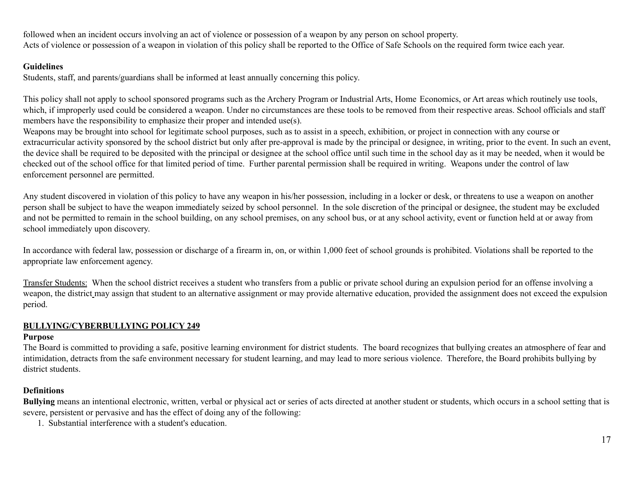followed when an incident occurs involving an act of violence or possession of a weapon by any person on school property. Acts of violence or possession of a weapon in violation of this policy shall be reported to the Office of Safe Schools on the required form twice each year.

## **Guidelines**

Students, staff, and parents/guardians shall be informed at least annually concerning this policy.

This policy shall not apply to school sponsored programs such as the Archery Program or Industrial Arts, Home Economics, or Art areas which routinely use tools, which, if improperly used could be considered a weapon. Under no circumstances are these tools to be removed from their respective areas. School officials and staff members have the responsibility to emphasize their proper and intended use(s).

Weapons may be brought into school for legitimate school purposes, such as to assist in a speech, exhibition, or project in connection with any course or extracurricular activity sponsored by the school district but only after pre-approval is made by the principal or designee, in writing, prior to the event. In such an event, the device shall be required to be deposited with the principal or designee at the school office until such time in the school day as it may be needed, when it would be checked out of the school office for that limited period of time. Further parental permission shall be required in writing. Weapons under the control of law enforcement personnel are permitted.

Any student discovered in violation of this policy to have any weapon in his/her possession, including in a locker or desk, or threatens to use a weapon on another person shall be subject to have the weapon immediately seized by school personnel. In the sole discretion of the principal or designee, the student may be excluded and not be permitted to remain in the school building, on any school premises, on any school bus, or at any school activity, event or function held at or away from school immediately upon discovery.

In accordance with federal law, possession or discharge of a firearm in, on, or within 1,000 feet of school grounds is prohibited. Violations shall be reported to the appropriate law enforcement agency.

Transfer Students: When the school district receives a student who transfers from a public or private school during an expulsion period for an offense involving a weapon, the district may assign that student to an alternative assignment or may provide alternative education, provided the assignment does not exceed the expulsion period.

### **BULLYING/CYBERBULLYING POLICY 249**

### **Purpose**

The Board is committed to providing a safe, positive learning environment for district students. The board recognizes that bullying creates an atmosphere of fear and intimidation, detracts from the safe environment necessary for student learning, and may lead to more serious violence. Therefore, the Board prohibits bullying by district students.

## **Definitions**

**Bullying** means an intentional electronic, written, verbal or physical act or series of acts directed at another student or students, which occurs in a school setting that is severe, persistent or pervasive and has the effect of doing any of the following:

1. Substantial interference with a student's education.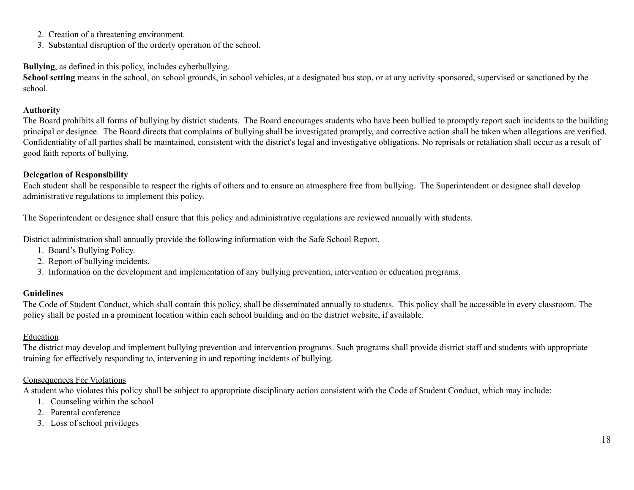- 2. Creation of a threatening environment.
- 3. Substantial disruption of the orderly operation of the school.

# **Bullying**, as defined in this policy, includes cyberbullying.

School setting means in the school, on school grounds, in school vehicles, at a designated bus stop, or at any activity sponsored, supervised or sanctioned by the school.

# **Authority**

The Board prohibits all forms of bullying by district students. The Board encourages students who have been bullied to promptly report such incidents to the building principal or designee. The Board directs that complaints of bullying shall be investigated promptly, and corrective action shall be taken when allegations are verified. Confidentiality of all parties shall be maintained, consistent with the district's legal and investigative obligations. No reprisals or retaliation shall occur as a result of good faith reports of bullying.

# **Delegation of Responsibility**

Each student shall be responsible to respect the rights of others and to ensure an atmosphere free from bullying. The Superintendent or designee shall develop administrative regulations to implement this policy.

The Superintendent or designee shall ensure that this policy and administrative regulations are reviewed annually with students.

District administration shall annually provide the following information with the Safe School Report.

- 1. Board's Bullying Policy.
- 2. Report of bullying incidents.
- 3. Information on the development and implementation of any bullying prevention, intervention or education programs.

# **Guidelines**

The Code of Student Conduct, which shall contain this policy, shall be disseminated annually to students. This policy shall be accessible in every classroom. The policy shall be posted in a prominent location within each school building and on the district website, if available.

# Education

The district may develop and implement bullying prevention and intervention programs. Such programs shall provide district staff and students with appropriate training for effectively responding to, intervening in and reporting incidents of bullying.

# Consequences For Violations

A student who violates this policy shall be subject to appropriate disciplinary action consistent with the Code of Student Conduct, which may include:

- 1. Counseling within the school
- 2. Parental conference
- 3. Loss of school privileges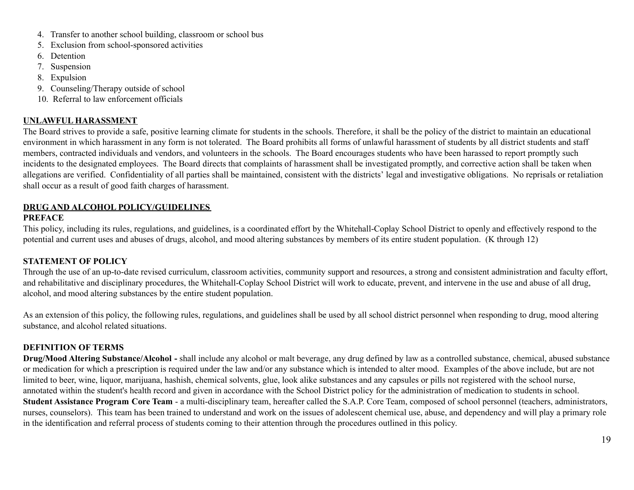- 4. Transfer to another school building, classroom or school bus
- 5. Exclusion from school-sponsored activities
- 6. Detention
- 7. Suspension
- 8. Expulsion
- 9. Counseling/Therapy outside of school
- 10. Referral to law enforcement officials

# **UNLAWFUL HARASSMENT**

The Board strives to provide a safe, positive learning climate for students in the schools. Therefore, it shall be the policy of the district to maintain an educational environment in which harassment in any form is not tolerated. The Board prohibits all forms of unlawful harassment of students by all district students and staff members, contracted individuals and vendors, and volunteers in the schools. The Board encourages students who have been harassed to report promptly such incidents to the designated employees. The Board directs that complaints of harassment shall be investigated promptly, and corrective action shall be taken when allegations are verified. Confidentiality of all parties shall be maintained, consistent with the districts' legal and investigative obligations. No reprisals or retaliation shall occur as a result of good faith charges of harassment.

# **DRUG AND ALCOHOL POLICY/GUIDELINES**

## **PREFACE**

This policy, including its rules, regulations, and guidelines, is a coordinated effort by the Whitehall-Coplay School District to openly and effectively respond to the potential and current uses and abuses of drugs, alcohol, and mood altering substances by members of its entire student population. (K through 12)

# **STATEMENT OF POLICY**

Through the use of an up-to-date revised curriculum, classroom activities, community support and resources, a strong and consistent administration and faculty effort, and rehabilitative and disciplinary procedures, the Whitehall-Coplay School District will work to educate, prevent, and intervene in the use and abuse of all drug, alcohol, and mood altering substances by the entire student population.

As an extension of this policy, the following rules, regulations, and guidelines shall be used by all school district personnel when responding to drug, mood altering substance, and alcohol related situations.

# **DEFINITION OF TERMS**

**Drug/Mood Altering Substance/Alcohol -** shall include any alcohol or malt beverage, any drug defined by law as a controlled substance, chemical, abused substance or medication for which a prescription is required under the law and/or any substance which is intended to alter mood. Examples of the above include, but are not limited to beer, wine, liquor, marijuana, hashish, chemical solvents, glue, look alike substances and any capsules or pills not registered with the school nurse, annotated within the student's health record and given in accordance with the School District policy for the administration of medication to students in school. **Student Assistance Program Core Team** - a multi-disciplinary team, hereafter called the S.A.P. Core Team, composed of school personnel (teachers, administrators, nurses, counselors). This team has been trained to understand and work on the issues of adolescent chemical use, abuse, and dependency and will play a primary role in the identification and referral process of students coming to their attention through the procedures outlined in this policy.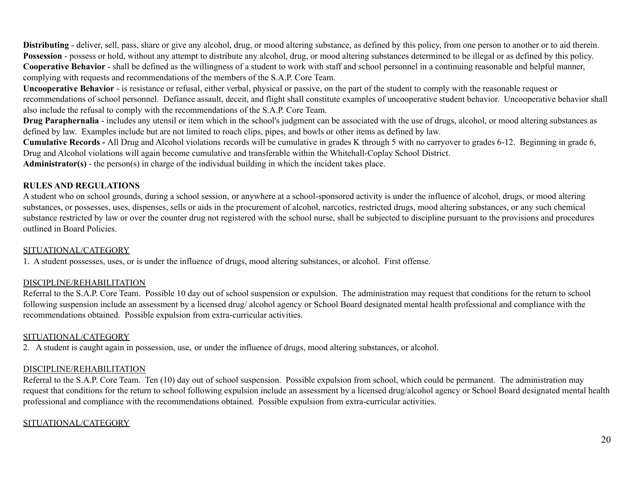**Distributing** - deliver, sell, pass, share or give any alcohol, drug, or mood altering substance, as defined by this policy, from one person to another or to aid therein. **Possession** - possess or hold, without any attempt to distribute any alcohol, drug, or mood altering substances determined to be illegal or as defined by this policy. **Cooperative Behavior** - shall be defined as the willingness of a student to work with staff and school personnel in a continuing reasonable and helpful manner, complying with requests and recommendations of the members of the S.A.P. Core Team.

**Uncooperative Behavior** - is resistance or refusal, either verbal, physical or passive, on the part of the student to comply with the reasonable request or recommendations of school personnel. Defiance assault, deceit, and flight shall constitute examples of uncooperative student behavior. Uncooperative behavior shall also include the refusal to comply with the recommendations of the S.A.P. Core Team.

**Drug Paraphernalia** - includes any utensil or item which in the school's judgment can be associated with the use of drugs, alcohol, or mood altering substances as defined by law. Examples include but are not limited to roach clips, pipes, and bowls or other items as defined by law.

**Cumulative Records -** All Drug and Alcohol violations records will be cumulative in grades K through 5 with no carryover to grades 6-12. Beginning in grade 6, Drug and Alcohol violations will again become cumulative and transferable within the Whitehall-Coplay School District.

**Administrator(s)** - the person(s) in charge of the individual building in which the incident takes place.

### **RULES AND REGULATIONS**

A student who on school grounds, during a school session, or anywhere at a school-sponsored activity is under the influence of alcohol, drugs, or mood altering substances, or possesses, uses, dispenses, sells or aids in the procurement of alcohol, narcotics, restricted drugs, mood altering substances, or any such chemical substance restricted by law or over the counter drug not registered with the school nurse, shall be subjected to discipline pursuant to the provisions and procedures outlined in Board Policies.

## SITUATIONAL/CATEGORY

1. A student possesses, uses, or is under the influence of drugs, mood altering substances, or alcohol. First offense.

# DISCIPLINE/REHABILITATION

Referral to the S.A.P. Core Team. Possible 10 day out of school suspension or expulsion. The administration may request that conditions for the return to school following suspension include an assessment by a licensed drug/ alcohol agency or School Board designated mental health professional and compliance with the recommendations obtained. Possible expulsion from extra-curricular activities.

## SITUATIONAL/CATEGORY

2. A student is caught again in possession, use, or under the influence of drugs, mood altering substances, or alcohol.

# DISCIPLINE/REHABILITATION

Referral to the S.A.P. Core Team. Ten (10) day out of school suspension. Possible expulsion from school, which could be permanent. The administration may request that conditions for the return to school following expulsion include an assessment by a licensed drug/alcohol agency or School Board designated mental health professional and compliance with the recommendations obtained. Possible expulsion from extra-curricular activities.

## SITUATIONAL/CATEGORY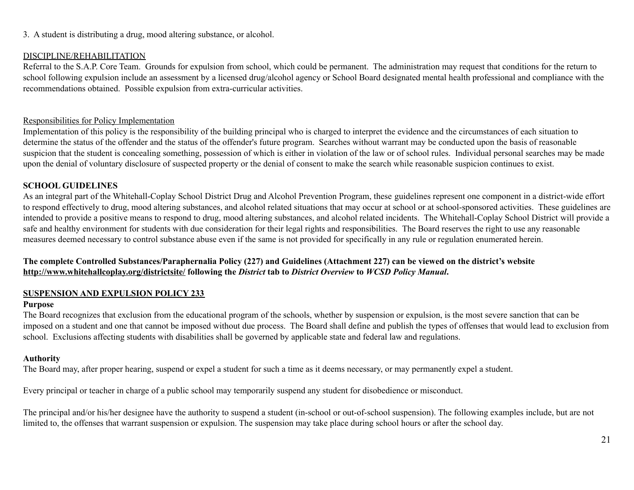## 3. A student is distributing a drug, mood altering substance, or alcohol.

### DISCIPLINE/REHABILITATION

Referral to the S.A.P. Core Team. Grounds for expulsion from school, which could be permanent. The administration may request that conditions for the return to school following expulsion include an assessment by a licensed drug/alcohol agency or School Board designated mental health professional and compliance with the recommendations obtained. Possible expulsion from extra-curricular activities.

### Responsibilities for Policy Implementation

Implementation of this policy is the responsibility of the building principal who is charged to interpret the evidence and the circumstances of each situation to determine the status of the offender and the status of the offender's future program. Searches without warrant may be conducted upon the basis of reasonable suspicion that the student is concealing something, possession of which is either in violation of the law or of school rules. Individual personal searches may be made upon the denial of voluntary disclosure of suspected property or the denial of consent to make the search while reasonable suspicion continues to exist.

### **SCHOOL GUIDELINES**

As an integral part of the Whitehall-Coplay School District Drug and Alcohol Prevention Program, these guidelines represent one component in a district-wide effort to respond effectively to drug, mood altering substances, and alcohol related situations that may occur at school or at school-sponsored activities. These guidelines are intended to provide a positive means to respond to drug, mood altering substances, and alcohol related incidents. The Whitehall-Coplay School District will provide a safe and healthy environment for students with due consideration for their legal rights and responsibilities. The Board reserves the right to use any reasonable measures deemed necessary to control substance abuse even if the same is not provided for specifically in any rule or regulation enumerated herein.

## The complete Controlled Substances/Paraphernalia Policy (227) and Guidelines (Attachment 227) can be viewed on the district's website **http://www.whitehallcoplay.org/districtsite/ following the** *District* **tab to** *District Overview* **to** *WCSD Policy Manual***.**

## **SUSPENSION AND EXPULSION POLICY 233**

### **Purpose**

The Board recognizes that exclusion from the educational program of the schools, whether by suspension or expulsion, is the most severe sanction that can be imposed on a student and one that cannot be imposed without due process. The Board shall define and publish the types of offenses that would lead to exclusion from school. Exclusions affecting students with disabilities shall be governed by applicable state and federal law and regulations.

## **Authority**

The Board may, after proper hearing, suspend or expel a student for such a time as it deems necessary, or may permanently expel a student.

Every principal or teacher in charge of a public school may temporarily suspend any student for disobedience or misconduct.

The principal and/or his/her designee have the authority to suspend a student (in-school or out-of-school suspension). The following examples include, but are not limited to, the offenses that warrant suspension or expulsion. The suspension may take place during school hours or after the school day.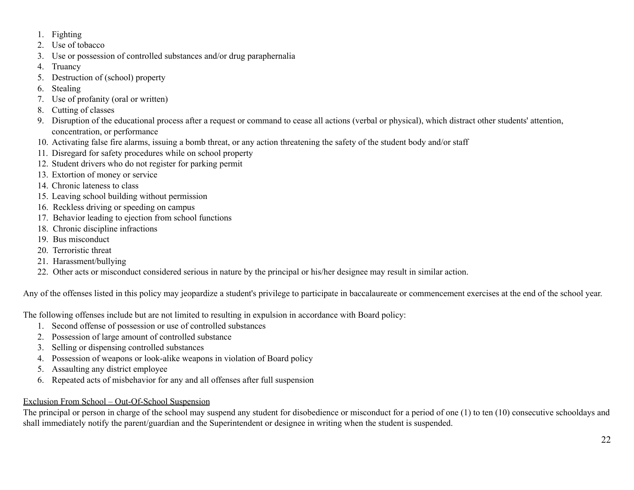- 1. Fighting
- 2. Use of tobacco
- 3. Use or possession of controlled substances and/or drug paraphernalia
- 4. Truancy
- 5. Destruction of (school) property
- 6. Stealing
- 7. Use of profanity (oral or written)
- 8. Cutting of classes
- 9. Disruption of the educational process after a request or command to cease all actions (verbal or physical), which distract other students' attention, concentration, or performance
- 10. Activating false fire alarms, issuing a bomb threat, or any action threatening the safety of the student body and/or staff
- 11. Disregard for safety procedures while on school property
- 12. Student drivers who do not register for parking permit
- 13. Extortion of money or service
- 14. Chronic lateness to class
- 15. Leaving school building without permission
- 16. Reckless driving or speeding on campus
- 17. Behavior leading to ejection from school functions
- 18. Chronic discipline infractions
- 19. Bus misconduct
- 20. Terroristic threat
- 21. Harassment/bullying
- 22. Other acts or misconduct considered serious in nature by the principal or his/her designee may result in similar action.

Any of the offenses listed in this policy may jeopardize a student's privilege to participate in baccalaureate or commencement exercises at the end of the school year.

The following offenses include but are not limited to resulting in expulsion in accordance with Board policy:

- 1. Second offense of possession or use of controlled substances
- 2. Possession of large amount of controlled substance
- 3. Selling or dispensing controlled substances
- 4. Possession of weapons or look-alike weapons in violation of Board policy
- 5. Assaulting any district employee
- 6. Repeated acts of misbehavior for any and all offenses after full suspension

# Exclusion From School – Out-Of-School Suspension

The principal or person in charge of the school may suspend any student for disobedience or misconduct for a period of one (1) to ten (10) consecutive schooldays and shall immediately notify the parent/guardian and the Superintendent or designee in writing when the student is suspended.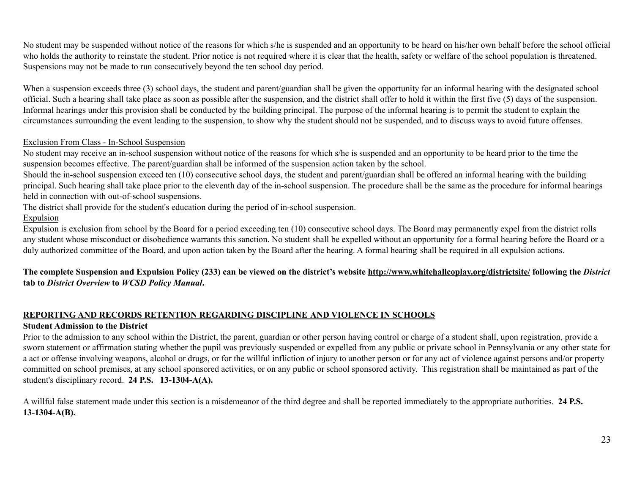No student may be suspended without notice of the reasons for which s/he is suspended and an opportunity to be heard on his/her own behalf before the school official who holds the authority to reinstate the student. Prior notice is not required where it is clear that the health, safety or welfare of the school population is threatened. Suspensions may not be made to run consecutively beyond the ten school day period.

When a suspension exceeds three (3) school days, the student and parent/guardian shall be given the opportunity for an informal hearing with the designated school official. Such a hearing shall take place as soon as possible after the suspension, and the district shall offer to hold it within the first five (5) days of the suspension. Informal hearings under this provision shall be conducted by the building principal. The purpose of the informal hearing is to permit the student to explain the circumstances surrounding the event leading to the suspension, to show why the student should not be suspended, and to discuss ways to avoid future offenses.

## Exclusion From Class - In-School Suspension

No student may receive an in-school suspension without notice of the reasons for which s/he is suspended and an opportunity to be heard prior to the time the suspension becomes effective. The parent/guardian shall be informed of the suspension action taken by the school.

Should the in-school suspension exceed ten (10) consecutive school days, the student and parent/guardian shall be offered an informal hearing with the building principal. Such hearing shall take place prior to the eleventh day of the in-school suspension. The procedure shall be the same as the procedure for informal hearings held in connection with out-of-school suspensions.

The district shall provide for the student's education during the period of in-school suspension.

### Expulsion

Expulsion is exclusion from school by the Board for a period exceeding ten (10) consecutive school days. The Board may permanently expel from the district rolls any student whose misconduct or disobedience warrants this sanction. No student shall be expelled without an opportunity for a formal hearing before the Board or a duly authorized committee of the Board, and upon action taken by the Board after the hearing. A formal hearing shall be required in all expulsion actions.

## The complete Suspension and Expulsion Policy (233) can be viewed on the district's website http://www.whitehallcoplay.org/districtsite/ following the District **tab to** *District Overview* **to** *WCSD Policy Manual***.**

## **REPORTING AND RECORDS RETENTION REGARDING DISCIPLINE AND VIOLENCE IN SCHOOLS**

## **Student Admission to the District**

Prior to the admission to any school within the District, the parent, guardian or other person having control or charge of a student shall, upon registration, provide a sworn statement or affirmation stating whether the pupil was previously suspended or expelled from any public or private school in Pennsylvania or any other state for a act or offense involving weapons, alcohol or drugs, or for the willful infliction of injury to another person or for any act of violence against persons and/or property committed on school premises, at any school sponsored activities, or on any public or school sponsored activity. This registration shall be maintained as part of the student's disciplinary record. **24 P.S. 13-1304-A(A).**

A willful false statement made under this section is a misdemeanor of the third degree and shall be reported immediately to the appropriate authorities. **24 P.S. 13-1304-A(B).**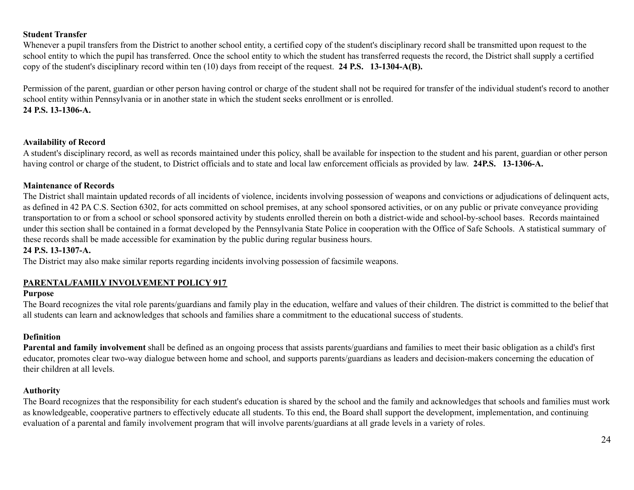### **Student Transfer**

Whenever a pupil transfers from the District to another school entity, a certified copy of the student's disciplinary record shall be transmitted upon request to the school entity to which the pupil has transferred. Once the school entity to which the student has transferred requests the record, the District shall supply a certified copy of the student's disciplinary record within ten (10) days from receipt of the request. **24 P.S. 13-1304-A(B).**

Permission of the parent, guardian or other person having control or charge of the student shall not be required for transfer of the individual student's record to another school entity within Pennsylvania or in another state in which the student seeks enrollment or is enrolled. **24 P.S. 13-1306-A.**

#### **Availability of Record**

A student's disciplinary record, as well as records maintained under this policy, shall be available for inspection to the student and his parent, guardian or other person having control or charge of the student, to District officials and to state and local law enforcement officials as provided by law. **24P.S. 13-1306-A.**

#### **Maintenance of Records**

The District shall maintain updated records of all incidents of violence, incidents involving possession of weapons and convictions or adjudications of delinquent acts, as defined in 42 PA C.S. Section 6302, for acts committed on school premises, at any school sponsored activities, or on any public or private conveyance providing transportation to or from a school or school sponsored activity by students enrolled therein on both a district-wide and school-by-school bases. Records maintained under this section shall be contained in a format developed by the Pennsylvania State Police in cooperation with the Office of Safe Schools. A statistical summary of these records shall be made accessible for examination by the public during regular business hours.

### **24 P.S. 13-1307-A.**

The District may also make similar reports regarding incidents involving possession of facsimile weapons.

## **PARENTAL/FAMILY INVOLVEMENT POLICY 917**

### **Purpose**

The Board recognizes the vital role parents/guardians and family play in the education, welfare and values of their children. The district is committed to the belief that all students can learn and acknowledges that schools and families share a commitment to the educational success of students.

### **Definition**

**Parental and family involvement** shall be defined as an ongoing process that assists parents/guardians and families to meet their basic obligation as a child's first educator, promotes clear two-way dialogue between home and school, and supports parents/guardians as leaders and decision-makers concerning the education of their children at all levels.

### **Authority**

The Board recognizes that the responsibility for each student's education is shared by the school and the family and acknowledges that schools and families must work as knowledgeable, cooperative partners to effectively educate all students. To this end, the Board shall support the development, implementation, and continuing evaluation of a parental and family involvement program that will involve parents/guardians at all grade levels in a variety of roles.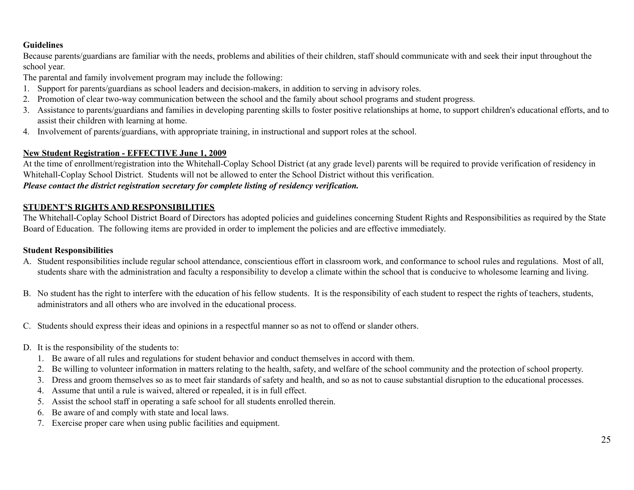## **Guidelines**

Because parents/guardians are familiar with the needs, problems and abilities of their children, staff should communicate with and seek their input throughout the school year.

The parental and family involvement program may include the following:

- 1. Support for parents/guardians as school leaders and decision-makers, in addition to serving in advisory roles.
- 2. Promotion of clear two-way communication between the school and the family about school programs and student progress.
- 3. Assistance to parents/guardians and families in developing parenting skills to foster positive relationships at home, to support children's educational efforts, and to assist their children with learning at home.
- 4. Involvement of parents/guardians, with appropriate training, in instructional and support roles at the school.

## **New Student Registration - EFFECTIVE June 1, 2009**

At the time of enrollment/registration into the Whitehall-Coplay School District (at any grade level) parents will be required to provide verification of residency in Whitehall-Coplay School District. Students will not be allowed to enter the School District without this verification. *Please contact the district registration secretary for complete listing of residency verification.*

## **STUDENT'S RIGHTS AND RESPONSIBILITIES**

The Whitehall-Coplay School District Board of Directors has adopted policies and guidelines concerning Student Rights and Responsibilities as required by the State Board of Education. The following items are provided in order to implement the policies and are effective immediately.

## **Student Responsibilities**

- A. Student responsibilities include regular school attendance, conscientious effort in classroom work, and conformance to school rules and regulations. Most of all, students share with the administration and faculty a responsibility to develop a climate within the school that is conducive to wholesome learning and living.
- B. No student has the right to interfere with the education of his fellow students. It is the responsibility of each student to respect the rights of teachers, students, administrators and all others who are involved in the educational process.
- C. Students should express their ideas and opinions in a respectful manner so as not to offend or slander others.
- D. It is the responsibility of the students to:
	- 1. Be aware of all rules and regulations for student behavior and conduct themselves in accord with them.
	- 2. Be willing to volunteer information in matters relating to the health, safety, and welfare of the school community and the protection of school property.
	- 3. Dress and groom themselves so as to meet fair standards of safety and health, and so as not to cause substantial disruption to the educational processes.
	- 4. Assume that until a rule is waived, altered or repealed, it is in full effect.
	- 5. Assist the school staff in operating a safe school for all students enrolled therein.
	- 6. Be aware of and comply with state and local laws.
	- 7. Exercise proper care when using public facilities and equipment.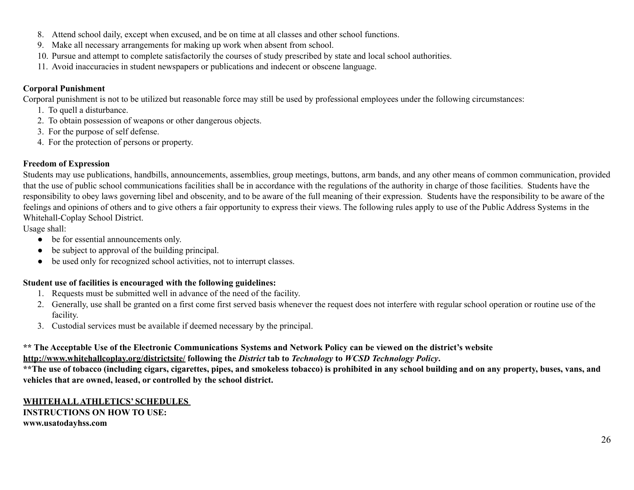- 8. Attend school daily, except when excused, and be on time at all classes and other school functions.
- 9. Make all necessary arrangements for making up work when absent from school.
- 10. Pursue and attempt to complete satisfactorily the courses of study prescribed by state and local school authorities.
- 11. Avoid inaccuracies in student newspapers or publications and indecent or obscene language.

# **Corporal Punishment**

Corporal punishment is not to be utilized but reasonable force may still be used by professional employees under the following circumstances:

- 1. To quell a disturbance.
- 2. To obtain possession of weapons or other dangerous objects.
- 3. For the purpose of self defense.
- 4. For the protection of persons or property.

# **Freedom of Expression**

Students may use publications, handbills, announcements, assemblies, group meetings, buttons, arm bands, and any other means of common communication, provided that the use of public school communications facilities shall be in accordance with the regulations of the authority in charge of those facilities. Students have the responsibility to obey laws governing libel and obscenity, and to be aware of the full meaning of their expression. Students have the responsibility to be aware of the feelings and opinions of others and to give others a fair opportunity to express their views. The following rules apply to use of the Public Address Systems in the Whitehall-Coplay School District.

Usage shall:

- be for essential announcements only.
- be subject to approval of the building principal.
- be used only for recognized school activities, not to interrupt classes.

# **Student use of facilities is encouraged with the following guidelines:**

- 1. Requests must be submitted well in advance of the need of the facility.
- 2. Generally, use shall be granted on a first come first served basis whenever the request does not interfere with regular school operation or routine use of the facility.
- 3. Custodial services must be available if deemed necessary by the principal.

# \*\* The Acceptable Use of the Electronic Communications Systems and Network Policy can be viewed on the district's website

**http://www.whitehallcoplay.org/districtsite/ following the** *District* **tab to** *Technology* **to** *WCSD Technology Policy***.**

\*\* The use of tobacco (including cigars, cigarettes, pipes, and smokeless tobacco) is prohibited in any school building and on any property, buses, vans, and **vehicles that are owned, leased, or controlled by the school district.**

**WHITEHALLATHLETICS' SCHEDULES INSTRUCTIONS ON HOW TO USE: www.usatodayhss.com**